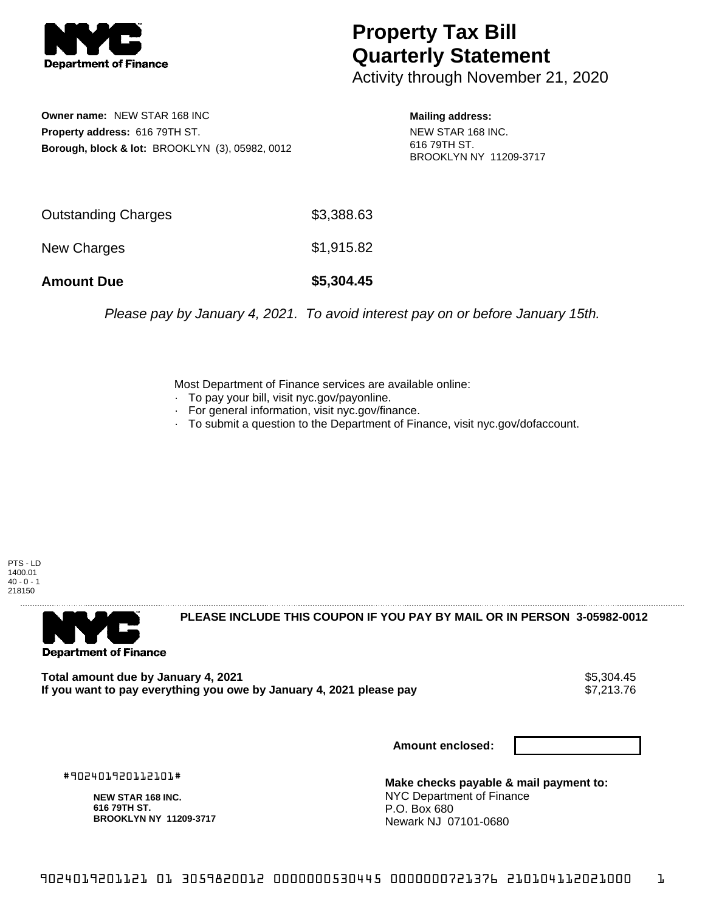

## **Property Tax Bill Quarterly Statement**

Activity through November 21, 2020

**Owner name:** NEW STAR 168 INC **Property address:** 616 79TH ST. **Borough, block & lot:** BROOKLYN (3), 05982, 0012

**Mailing address:** NEW STAR 168 INC. 616 79TH ST. BROOKLYN NY 11209-3717

| <b>Amount Due</b>   | \$5,304.45 |
|---------------------|------------|
| New Charges         | \$1,915.82 |
| Outstanding Charges | \$3,388.63 |

Please pay by January 4, 2021. To avoid interest pay on or before January 15th.

Most Department of Finance services are available online:

- · To pay your bill, visit nyc.gov/payonline.
- For general information, visit nyc.gov/finance.
- · To submit a question to the Department of Finance, visit nyc.gov/dofaccount.

PTS - LD 1400.01  $40 - 0 - 1$ 218150



**PLEASE INCLUDE THIS COUPON IF YOU PAY BY MAIL OR IN PERSON 3-05982-0012** 

Total amount due by January 4, 2021<br>If you want to pay everything you owe by January 4, 2021 please pay **ship and the same of the set of the s**7,213.76 If you want to pay everything you owe by January 4, 2021 please pay

**Amount enclosed:**

#902401920112101#

**NEW STAR 168 INC. 616 79TH ST. BROOKLYN NY 11209-3717**

**Make checks payable & mail payment to:** NYC Department of Finance P.O. Box 680 Newark NJ 07101-0680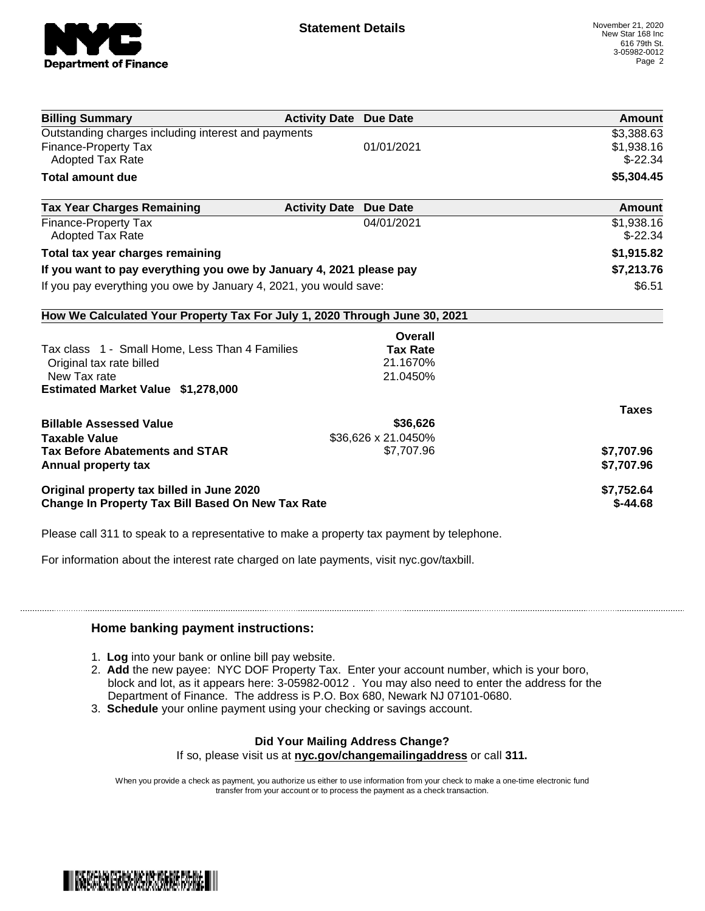

| <b>Billing Summary</b>                                                     | <b>Activity Date Due Date</b>           | Amount       |
|----------------------------------------------------------------------------|-----------------------------------------|--------------|
| Outstanding charges including interest and payments                        |                                         | \$3,388.63   |
| <b>Finance-Property Tax</b>                                                | 01/01/2021                              | \$1,938.16   |
| <b>Adopted Tax Rate</b>                                                    |                                         | $$-22.34$    |
| <b>Total amount due</b>                                                    |                                         | \$5,304.45   |
| <b>Tax Year Charges Remaining</b>                                          | <b>Activity Date</b><br><b>Due Date</b> | Amount       |
| <b>Finance-Property Tax</b>                                                | 04/01/2021                              | \$1,938.16   |
| <b>Adopted Tax Rate</b>                                                    |                                         | $$-22.34$    |
| Total tax year charges remaining                                           |                                         | \$1,915.82   |
| If you want to pay everything you owe by January 4, 2021 please pay        |                                         | \$7,213.76   |
| If you pay everything you owe by January 4, 2021, you would save:          |                                         | \$6.51       |
| How We Calculated Your Property Tax For July 1, 2020 Through June 30, 2021 |                                         |              |
|                                                                            | Overall                                 |              |
| Tax class 1 - Small Home, Less Than 4 Families                             | <b>Tax Rate</b>                         |              |
| Original tax rate billed                                                   | 21.1670%                                |              |
| New Tax rate                                                               | 21.0450%                                |              |
| Estimated Market Value \$1,278,000                                         |                                         |              |
|                                                                            |                                         | <b>Taxes</b> |
| <b>Billable Assessed Value</b>                                             | \$36,626                                |              |
| <b>Taxable Value</b>                                                       | \$36,626 x 21.0450%                     |              |
| <b>Tax Before Abatements and STAR</b>                                      | \$7,707.96                              | \$7,707.96   |
| Annual property tax                                                        |                                         | \$7,707.96   |
| Original property tax billed in June 2020                                  |                                         | \$7,752.64   |
| Change In Property Tax Bill Based On New Tax Rate                          |                                         | $$-44.68$    |

Please call 311 to speak to a representative to make a property tax payment by telephone.

For information about the interest rate charged on late payments, visit nyc.gov/taxbill.

## **Home banking payment instructions:**

- 1. **Log** into your bank or online bill pay website.
- 2. **Add** the new payee: NYC DOF Property Tax. Enter your account number, which is your boro, block and lot, as it appears here: 3-05982-0012 . You may also need to enter the address for the Department of Finance. The address is P.O. Box 680, Newark NJ 07101-0680.
- 3. **Schedule** your online payment using your checking or savings account.

## **Did Your Mailing Address Change?**

If so, please visit us at **nyc.gov/changemailingaddress** or call **311.**

When you provide a check as payment, you authorize us either to use information from your check to make a one-time electronic fund transfer from your account or to process the payment as a check transaction.